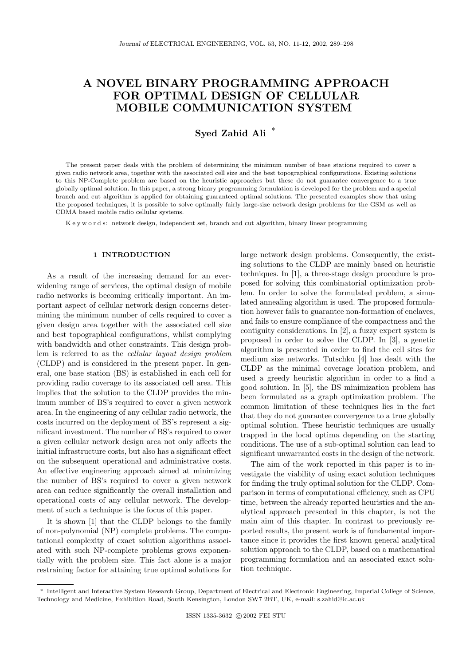# A NOVEL BINARY PROGRAMMING APPROACH FOR OPTIMAL DESIGN OF CELLULAR MOBILE COMMUNICATION SYSTEM

## Syed Zahid Ali <sup>∗</sup>

The present paper deals with the problem of determining the minimum number of base stations required to cover a given radio network area, together with the associated cell size and the best topographical configurations. Existing solutions to this NP-Complete problem are based on the heuristic approaches but these do not guarantee convergence to a true globally optimal solution. In this paper, a strong binary programming formulation is developed for the problem and a special branch and cut algorithm is applied for obtaining guaranteed optimal solutions. The presented examples show that using the proposed techniques, it is possible to solve optimally fairly large-size network design problems for the GSM as well as CDMA based mobile radio cellular systems.

K e y w o r d s: network design, independent set, branch and cut algorithm, binary linear programming

## 1 INTRODUCTION

As a result of the increasing demand for an everwidening range of services, the optimal design of mobile radio networks is becoming critically important. An important aspect of cellular network design concerns determining the minimum number of cells required to cover a given design area together with the associated cell size and best topographical configurations, whilst complying with bandwidth and other constraints. This design problem is referred to as the cellular layout design problem (CLDP) and is considered in the present paper. In general, one base station (BS) is established in each cell for providing radio coverage to its associated cell area. This implies that the solution to the CLDP provides the minimum number of BS's required to cover a given network area. In the engineering of any cellular radio network, the costs incurred on the deployment of BS's represent a significant investment. The number of BS's required to cover a given cellular network design area not only affects the initial infrastructure costs, but also has a significant effect on the subsequent operational and administrative costs. An effective engineering approach aimed at minimizing the number of BS's required to cover a given network area can reduce significantly the overall installation and operational costs of any cellular network. The development of such a technique is the focus of this paper.

It is shown [1] that the CLDP belongs to the family of non-polynomial (NP) complete problems. The computational complexity of exact solution algorithms associated with such NP-complete problems grows exponentially with the problem size. This fact alone is a major restraining factor for attaining true optimal solutions for large network design problems. Consequently, the existing solutions to the CLDP are mainly based on heuristic techniques. In [1], a three-stage design procedure is proposed for solving this combinatorial optimization problem. In order to solve the formulated problem, a simulated annealing algorithm is used. The proposed formulation however fails to guarantee non-formation of enclaves, and fails to ensure compliance of the compactness and the contiguity considerations. In [2], a fuzzy expert system is proposed in order to solve the CLDP. In [3], a genetic algorithm is presented in order to find the cell sites for medium size networks. Tutschku [4] has dealt with the CLDP as the minimal coverage location problem, and used a greedy heuristic algorithm in order to a find a good solution. In [5], the BS minimization problem has been formulated as a graph optimization problem. The common limitation of these techniques lies in the fact that they do not guarantee convergence to a true globally optimal solution. These heuristic techniques are usually trapped in the local optima depending on the starting conditions. The use of a sub-optimal solution can lead to significant unwarranted costs in the design of the network.

The aim of the work reported in this paper is to investigate the viability of using exact solution techniques for finding the truly optimal solution for the CLDP. Comparison in terms of computational efficiency, such as CPU time, between the already reported heuristics and the analytical approach presented in this chapter, is not the main aim of this chapter. In contrast to previously reported results, the present work is of fundamental importance since it provides the first known general analytical solution approach to the CLDP, based on a mathematical programming formulation and an associated exact solution technique.

<sup>∗</sup> Intelligent and Interactive System Research Group, Department of Electrical and Electronic Engineering, Imperial College of Science, Technology and Medicine, Exhibition Road, South Kensington, London SW7 2BT, UK, e-mail: s.zahid@ic.ac.uk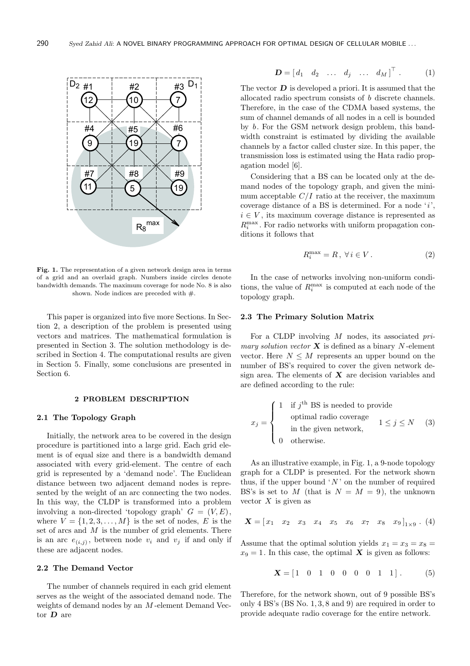

Fig. 1. The representation of a given network design area in terms of a grid and an overlaid graph. Numbers inside circles denote bandwidth demands. The maximum coverage for node No. 8 is also shown. Node indices are preceded with  $#$ .

This paper is organized into five more Sections. In Section 2, a description of the problem is presented using vectors and matrices. The mathematical formulation is presented in Section 3. The solution methodology is described in Section 4. The computational results are given in Section 5. Finally, some conclusions are presented in Section 6.

#### 2 PROBLEM DESCRIPTION

## 2.1 The Topology Graph

Initially, the network area to be covered in the design procedure is partitioned into a large grid. Each grid element is of equal size and there is a bandwidth demand associated with every grid-element. The centre of each grid is represented by a 'demand node'. The Euclidean distance between two adjacent demand nodes is represented by the weight of an arc connecting the two nodes. In this way, the CLDP is transformed into a problem involving a non-directed 'topology graph'  $G = (V, E)$ , where  $V = \{1, 2, 3, \ldots, M\}$  is the set of nodes, E is the set of arcs and  $M$  is the number of grid elements. There is an arc  $e_{(i,j)}$ , between node  $v_i$  and  $v_j$  if and only if these are adjacent nodes.

## 2.2 The Demand Vector

The number of channels required in each grid element serves as the weight of the associated demand node. The weights of demand nodes by an M -element Demand Vector D are

$$
\mathbf{D} = \begin{bmatrix} d_1 & d_2 & \dots & d_j & \dots & d_M \end{bmatrix}^\top . \tag{1}
$$

The vector  $\bf{D}$  is developed a priori. It is assumed that the allocated radio spectrum consists of b discrete channels. Therefore, in the case of the CDMA based systems, the sum of channel demands of all nodes in a cell is bounded by b. For the GSM network design problem, this bandwidth constraint is estimated by dividing the available channels by a factor called cluster size. In this paper, the transmission loss is estimated using the Hata radio propagation model [6].

Considering that a BS can be located only at the demand nodes of the topology graph, and given the minimum acceptable  $C/I$  ratio at the receiver, the maximum coverage distance of a BS is determined. For a node  $'i'$ ,  $i \in V$ , its maximum coverage distance is represented as  $R_i^{\text{max}}$ . For radio networks with uniform propagation conditions it follows that

$$
R_i^{\max} = R, \ \forall \, i \in V. \tag{2}
$$

In the case of networks involving non-uniform conditions, the value of  $R_i^{\text{max}}$  is computed at each node of the topology graph.

#### 2.3 The Primary Solution Matrix

For a CLDP involving  $M$  nodes, its associated  $pri$ mary solution vector  $X$  is defined as a binary N-element vector. Here  $N \leq M$  represents an upper bound on the number of BS's required to cover the given network design area. The elements of  $X$  are decision variables and are defined according to the rule:

$$
x_j = \begin{cases} 1 & \text{if } j^{\text{th}} \text{ BS is needed to provide} \\ & \text{optimal radio coverage} \\ & \text{in the given network,} \\ 0 & \text{otherwise.} \end{cases} \quad 1 \le j \le N \quad (3)
$$

As an illustrative example, in Fig. 1, a 9-node topology graph for a CLDP is presented. For the network shown thus, if the upper bound  $'N'$  on the number of required BS's is set to M (that is  $N = M = 9$ ), the unknown vector  $X$  is given as

$$
\mathbf{X} = \begin{bmatrix} x_1 & x_2 & x_3 & x_4 & x_5 & x_6 & x_7 & x_8 & x_9 \end{bmatrix}_{1 \times 9} . (4)
$$

Assume that the optimal solution yields  $x_1 = x_3 = x_8 =$  $x_9 = 1$ . In this case, the optimal **X** is given as follows:

$$
\mathbf{X} = \begin{bmatrix} 1 & 0 & 1 & 0 & 0 & 0 & 0 & 1 & 1 \end{bmatrix} . \tag{5}
$$

Therefore, for the network shown, out of 9 possible BS's only 4 BS's (BS No. 1, 3, 8 and 9) are required in order to provide adequate radio coverage for the entire network.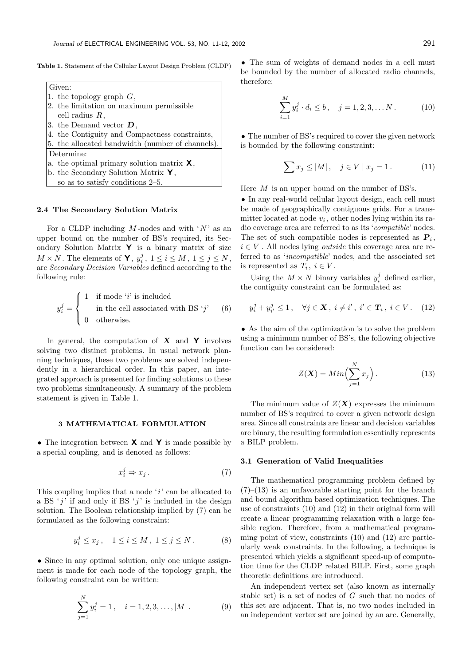Table 1. Statement of the Cellular Layout Design Problem (CLDP)



#### 2.4 The Secondary Solution Matrix

For a CLDP including  $M$ -nodes and with  $'N'$  as an upper bound on the number of BS's required, its Secondary Solution Matrix  $\mathsf{Y}$  is a binary matrix of size  $M \times N$ . The elements of **Y**,  $y_i^j$ ,  $1 \le i \le M$ ,  $1 \le j \le N$ , are Secondary Decision Variables defined according to the following rule:

$$
y_i^j = \begin{cases} 1 & \text{if mode 'i' is included} \\ & \text{in the cell associated with BS 'j'} \\ 0 & \text{otherwise.} \end{cases}
$$
 (6)

In general, the computation of  $X$  and  $Y$  involves solving two distinct problems. In usual network planning techniques, these two problems are solved independently in a hierarchical order. In this paper, an integrated approach is presented for finding solutions to these two problems simultaneously. A summary of the problem statement is given in Table 1.

#### 3 MATHEMATICAL FORMULATION

• The integration between **X** and **Y** is made possible by a special coupling, and is denoted as follows:

$$
x_i^j \Rightarrow x_j. \tag{7}
$$

This coupling implies that a node  $'i'$  can be allocated to a BS  $'j'$  if and only if BS  $'j'$  is included in the design solution. The Boolean relationship implied by (7) can be formulated as the following constraint:

$$
y_i^j \le x_j
$$
,  $1 \le i \le M$ ,  $1 \le j \le N$ . (8)

• Since in any optimal solution, only one unique assignment is made for each node of the topology graph, the following constraint can be written:

$$
\sum_{j=1}^{N} y_i^j = 1, \quad i = 1, 2, 3, \dots, |M|.
$$
 (9)

• The sum of weights of demand nodes in a cell must be bounded by the number of allocated radio channels, therefore:

$$
\sum_{i=1}^{M} y_i^j \cdot d_i \le b, \quad j = 1, 2, 3, \dots N. \tag{10}
$$

• The number of BS's required to cover the given network is bounded by the following constraint:

$$
\sum x_j \le |M|, \quad j \in V \mid x_j = 1. \tag{11}
$$

Here  $M$  is an upper bound on the number of BS's.

• In any real-world cellular layout design, each cell must be made of geographically contiguous grids. For a transmitter located at node  $v_i$ , other nodes lying within its radio coverage area are referred to as its 'compatible' nodes. The set of such compatible nodes is represented as  $P_i$ ,  $i \in V$ . All nodes lying *outside* this coverage area are referred to as 'incompatible' nodes, and the associated set is represented as  $T_i, i \in V$ .

Using the  $M \times N$  binary variables  $y_i^j$  defined earlier, the contiguity constraint can be formulated as:

$$
y_i^j + y_{i'}^j \le 1
$$
,  $\forall j \in \mathbf{X}, i \ne i', i' \in T_i, i \in V$ . (12)

• As the aim of the optimization is to solve the problem using a minimum number of BS's, the following objective function can be considered:

$$
Z(\mathbf{X}) = Min\left(\sum_{j=1}^{N} x_j\right). \tag{13}
$$

The minimum value of  $Z(\mathbf{X})$  expresses the minimum number of BS's required to cover a given network design area. Since all constraints are linear and decision variables are binary, the resulting formulation essentially represents a BILP problem.

## 3.1 Generation of Valid Inequalities

The mathematical programming problem defined by  $(7)$ – $(13)$  is an unfavorable starting point for the branch and bound algorithm based optimization techniques. The use of constraints (10) and (12) in their original form will create a linear programming relaxation with a large feasible region. Therefore, from a mathematical programming point of view, constraints (10) and (12) are particularly weak constraints. In the following, a technique is presented which yields a significant speed-up of computation time for the CLDP related BILP. First, some graph theoretic definitions are introduced.

An independent vertex set (also known as internally stable set) is a set of nodes of G such that no nodes of this set are adjacent. That is, no two nodes included in an independent vertex set are joined by an arc. Generally,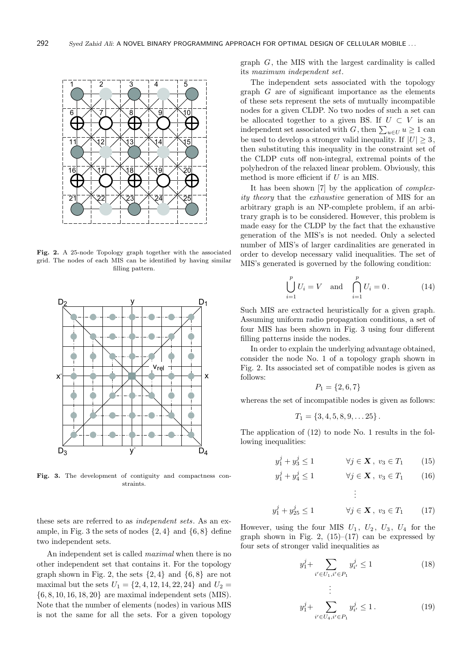

Fig. 2. A 25-node Topology graph together with the associated grid. The nodes of each MIS can be identified by having similar filling pattern.



Fig. 3. The development of contiguity and compactness constraints.

these sets are referred to as independent sets. As an example, in Fig. 3 the sets of nodes  $\{2, 4\}$  and  $\{6, 8\}$  define two independent sets.

An independent set is called maximal when there is no other independent set that contains it. For the topology graph shown in Fig. 2, the sets  $\{2,4\}$  and  $\{6,8\}$  are not maximal but the sets  $U_1 = \{2, 4, 12, 14, 22, 24\}$  and  $U_2 =$ {6, 8, 10, 16, 18, 20} are maximal independent sets (MIS). Note that the number of elements (nodes) in various MIS is not the same for all the sets. For a given topology graph G, the MIS with the largest cardinality is called its maximum independent set.

The independent sets associated with the topology graph  $G$  are of significant importance as the elements of these sets represent the sets of mutually incompatible nodes for a given CLDP. No two nodes of such a set can be allocated together to a given BS. If  $U \subset V$  is an independent set associated with  $G$ , then  $\sum_{u \in U} u \ge 1$  can be used to develop a stronger valid inequality. If  $|U| \geq 3$ , then substituting this inequality in the constraint set of the CLDP cuts off non-integral, extremal points of the polyhedron of the relaxed linear problem. Obviously, this method is more efficient if  $U$  is an MIS.

It has been shown [7] by the application of *complex*ity theory that the exhaustive generation of MIS for an arbitrary graph is an NP-complete problem, if an arbitrary graph is to be considered. However, this problem is made easy for the CLDP by the fact that the exhaustive generation of the MIS's is not needed. Only a selected number of MIS's of larger cardinalities are generated in order to develop necessary valid inequalities. The set of MIS's generated is governed by the following condition:

$$
\bigcup_{i=1}^{p} U_i = V \text{ and } \bigcap_{i=1}^{p} U_i = 0. \tag{14}
$$

Such MIS are extracted heuristically for a given graph. Assuming uniform radio propagation conditions, a set of four MIS has been shown in Fig. 3 using four different filling patterns inside the nodes.

In order to explain the underlying advantage obtained, consider the node No. 1 of a topology graph shown in Fig. 2. Its associated set of compatible nodes is given as follows:

$$
P_1 = \{2, 6, 7\}
$$

whereas the set of incompatible nodes is given as follows:

$$
T_1 = \{3, 4, 5, 8, 9, \ldots 25\}.
$$

The application of (12) to node No. 1 results in the following inequalities:

 $\overline{\mathfrak{L}}$ 

$$
y_1^j + y_3^j \le 1 \qquad \forall j \in \mathbf{X}, \ v_3 \in T_1 \qquad (15)
$$

$$
y_1^j + y_4^j \le 1 \qquad \forall j \in \mathbf{X}, \ v_3 \in T_1 \qquad (16)
$$

.

$$
y_1^j + y_{25}^j \le 1 \qquad \forall j \in \mathbf{X}, v_3 \in T_1 \qquad (17)
$$

However, using the four MIS  $U_1$ ,  $U_2$ ,  $U_3$ ,  $U_4$  for the graph shown in Fig. 2,  $(15)$ – $(17)$  can be expressed by four sets of stronger valid inequalities as

.

$$
y_1^j + \sum_{i' \in U_1, i' \in P_1} y_{i'}^j \le 1
$$
\n(18)

$$
\vdots
$$
  

$$
y_1^j + \sum_{i' \in U_4, i' \in P_1} y_{i'}^j \le 1.
$$
 (19)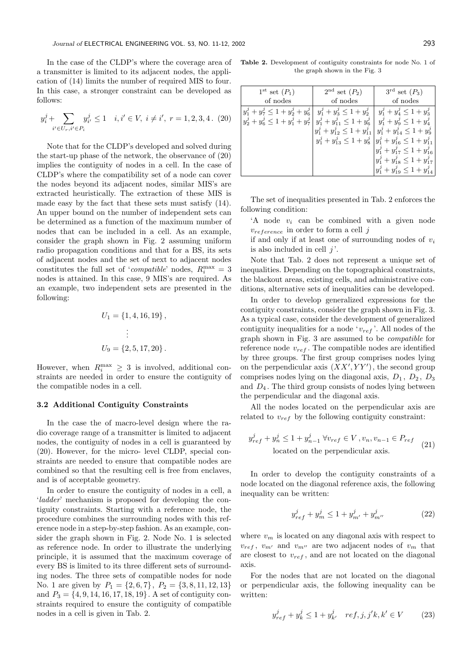In the case of the CLDP's where the coverage area of a transmitter is limited to its adjacent nodes, the application of (14) limits the number of required MIS to four. In this case, a stronger constraint can be developed as follows:

$$
y_i^j + \sum_{i' \in U_r, i' \in P_i} y_{i'}^j \le 1 \quad i, i' \in V, \ i \ne i', \ r = 1, 2, 3, 4. \ (20)
$$

Note that for the CLDP's developed and solved during the start-up phase of the network, the observance of (20) implies the contiguity of nodes in a cell. In the case of CLDP's where the compatibility set of a node can cover the nodes beyond its adjacent nodes, similar MIS's are extracted heuristically. The extraction of these MIS is made easy by the fact that these sets must satisfy (14). An upper bound on the number of independent sets can be determined as a function of the maximum number of nodes that can be included in a cell. As an example, consider the graph shown in Fig. 2 assuming uniform radio propagation conditions and that for a BS, its sets of adjacent nodes and the set of next to adjacent nodes constitutes the full set of '*compatible*' nodes,  $R_i^{\max} = 3$ nodes is attained. In this case, 9 MIS's are required. As an example, two independent sets are presented in the following:

$$
U_1 = \{1, 4, 16, 19\},
$$
  

$$
\vdots
$$
  

$$
U_9 = \{2, 5, 17, 20\}.
$$

However, when  $R_i^{\max} \geq 3$  is involved, additional constraints are needed in order to ensure the contiguity of the compatible nodes in a cell.

## 3.2 Additional Contiguity Constraints

In the case the of macro-level design where the radio coverage range of a transmitter is limited to adjacent nodes, the contiguity of nodes in a cell is guaranteed by (20). However, for the micro- level CLDP, special constraints are needed to ensure that compatible nodes are combined so that the resulting cell is free from enclaves, and is of acceptable geometry.

In order to ensure the contiguity of nodes in a cell, a 'ladder' mechanism is proposed for developing the contiguity constraints. Starting with a reference node, the procedure combines the surrounding nodes with this reference node in a step-by-step fashion. As an example, consider the graph shown in Fig. 2. Node No. 1 is selected as reference node. In order to illustrate the underlying principle, it is assumed that the maximum coverage of every BS is limited to its three different sets of surrounding nodes. The three sets of compatible nodes for node No. 1 are given by  $P_1 = \{2, 6, 7\}, P_2 = \{3, 8, 11, 12, 13\}$ and  $P_3 = \{4, 9, 14, 16, 17, 18, 19\}$ . A set of contiguity constraints required to ensure the contiguity of compatible nodes in a cell is given in Tab. 2.

Table 2. Development of contiguity constraints for node No. 1 of the graph shown in the Fig. 3

| $1^{\rm st}$ set $(P_1)$                                                                                                                        | $2^{\text{nd}}$ set $(P_2)$                                                                                               | $3^{\text{rd}}$ set $(P_3)$                                                                                                                                                                                                   |
|-------------------------------------------------------------------------------------------------------------------------------------------------|---------------------------------------------------------------------------------------------------------------------------|-------------------------------------------------------------------------------------------------------------------------------------------------------------------------------------------------------------------------------|
| of nodes                                                                                                                                        | of nodes                                                                                                                  | of nodes                                                                                                                                                                                                                      |
| $y_1^j + y_7^j \le 1 + y_2^j + y_6^j  y_1^j + y_3^j \le 1 + y_2^j$<br>$y_2^j + y_6^j \leq 1 + y_1^j + y_7^j  y_1^j + y_{11}^j \leq 1 + y_6^j  $ | $y_1^j + y_{12}^j \leq 1 + y_{11}^j$<br>$y_1^j + y_{13}^j \le 1 + y_8^j \left  y_1^j + y_{16}^j \le 1 + y_{11}^j \right $ | $y_1^j + y_4^j \leq 1 + y_3^j$<br>$y_1^j + y_9^j \leq 1 + y_4^j$<br>$y_1^j + y_{14}^j \leq 1 + y_9^j$<br>$y_1^j + y_{17}^j \leq 1 + y_{16}^j$<br>$y_1^j + y_{18}^j \leq 1 + y_{17}^j$<br>$y_1^j + y_{19}^j \leq 1 + y_{14}^j$ |

The set of inequalities presented in Tab. 2 enforces the following condition:

- 'A node  $v_i$  can be combined with a given node  $v_{reference}$  in order to form a cell j
- if and only if at least one of surrounding nodes of  $v_i$ is also included in cell  $j'$ .

Note that Tab. 2 does not represent a unique set of inequalities. Depending on the topographical constraints, the blackout areas, existing cells, and administrative conditions, alternative sets of inequalities can be developed.

In order to develop generalized expressions for the contiguity constraints, consider the graph shown in Fig. 3. As a typical case, consider the development of generalized contiguity inequalities for a node ' $v_{ref}$ '. All nodes of the graph shown in Fig. 3 are assumed to be compatible for reference node  $v_{ref}$ . The compatible nodes are identified by three groups. The first group comprises nodes lying on the perpendicular axis  $(XX' , YY')$ , the second group comprises nodes lying on the diagonal axis,  $D_1$ ,  $D_2$ ,  $D_3$ and  $D_4$ . The third group consists of nodes lying between the perpendicular and the diagonal axis.

All the nodes located on the perpendicular axis are related to  $v_{ref}$  by the following contiguity constraint:

$$
y_{ref}^j + y_n^j \le 1 + y_{n-1}^j \,\forall v_{ref} \in V, v_n, v_{n-1} \in P_{ref}
$$
  
located on the perpendicular axis. (21)

In order to develop the contiguity constraints of a node located on the diagonal reference axis, the following inequality can be written:

$$
y_{ref}^j + y_m^j \le 1 + y_{m'}^j + y_{m''}^j \tag{22}
$$

where  $v_m$  is located on any diagonal axis with respect to  $v_{ref}$ ,  $v_{m'}$  and  $v_{m''}$  are two adjacent nodes of  $v_m$  that are closest to  $v_{ref}$ , and are not located on the diagonal axis.

For the nodes that are not located on the diagonal or perpendicular axis, the following inequality can be written:

$$
y_{ref}^{j} + y_{k}^{j} \le 1 + y_{k'}^{j} \quad ref, j, j'k, k' \in V \tag{23}
$$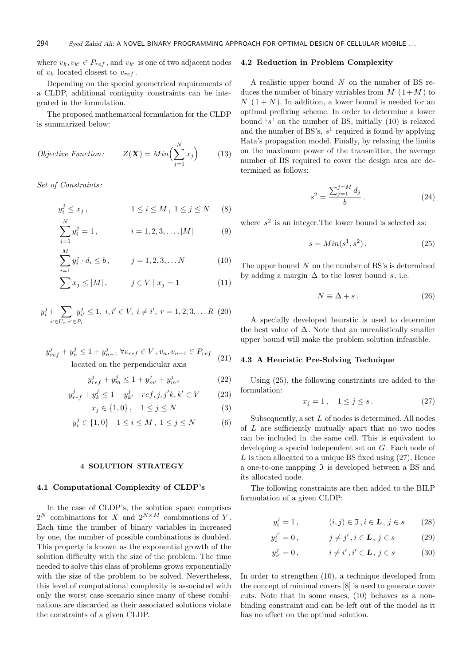where  $v_k, v_{k'} \in P_{ref}$ , and  $v_{k'}$  is one of two adjacent nodes of  $v_k$  located closest to  $v_{ref}$ .

Depending on the special geometrical requirements of a CLDP, additional contiguity constraints can be integrated in the formulation.

The proposed mathematical formulation for the CLDP is summarized below:

$$
Objective Function: \t Z(\mathbf{X}) = Min\Big(\sum_{j=1}^{N} x_j\Big) \t (13)
$$

Set of Constraints :

$$
y_i^j \le x_j
$$
,  $1 \le i \le M$ ,  $1 \le j \le N$  (8)

$$
\sum_{j=1}^{N} y_i^j = 1, \qquad i = 1, 2, 3, \dots, |M| \tag{9}
$$

$$
\sum_{i=1}^{M} y_i^j \cdot d_i \le b, \qquad j = 1, 2, 3, \dots N \tag{10}
$$

$$
\sum x_j \le |M|, \qquad j \in V \mid x_j = 1 \tag{11}
$$

$$
y_i^j + \sum_{i' \in U_r, i' \in P_i} y_{i'}^j \le 1, \ i, i' \in V, \ i \ne i', \ r = 1, 2, 3, \dots R \ (20)
$$

$$
y_{ref}^{j} + y_{n}^{j} \le 1 + y_{n-1}^{j} \,\forall v_{ref} \in V, v_{n}, v_{n-1} \in P_{ref}
$$
  
located on the perpendicular axis (21)

$$
y_{ref}^j + y_m^j \le 1 + y_{m'}^j + y_{m''}^j \tag{22}
$$

$$
y_{ref}^{j} + y_{k}^{j} \le 1 + y_{k'}^{j} \quad ref, j, j'k, k' \in V \tag{23}
$$

$$
x_j \in \{1, 0\}, \quad 1 \le j \le N \tag{3}
$$

$$
y_i^j \in \{1, 0\} \quad 1 \le i \le M \,, \ 1 \le j \le N \tag{6}
$$

4 SOLUTION STRATEGY

## 4.1 Computational Complexity of CLDP's

In the case of CLDP's, the solution space comprises  $2^N$  combinations for X and  $2^{N \times M}$  combinations of Y. Each time the number of binary variables in increased by one, the number of possible combinations is doubled. This property is known as the exponential growth of the solution difficulty with the size of the problem. The time needed to solve this class of problems grows exponentially with the size of the problem to be solved. Nevertheless, this level of computational complexity is associated with only the worst case scenario since many of these combinations are discarded as their associated solutions violate the constraints of a given CLDP.

#### 4.2 Reduction in Problem Complexity

A realistic upper bound  $N$  on the number of BS reduces the number of binary variables from  $M(1+M)$  to  $N(1+N)$ . In addition, a lower bound is needed for an optimal prefixing scheme. In order to determine a lower bound  $'s'$  on the number of BS, initially  $(10)$  is relaxed and the number of BS's,  $s<sup>1</sup>$  required is found by applying Hata's propagation model. Finally, by relaxing the limits on the maximum power of the transmitter, the average number of BS required to cover the design area are determined as follows:

$$
s^2 = \frac{\sum_{j=1}^{j=M} d_j}{b} \,. \tag{24}
$$

where  $s^2$  is an integer. The lower bound is selected as:

$$
s = Min(s^1, s^2). \tag{25}
$$

The upper bound  $N$  on the number of BS's is determined by adding a margin  $\Delta$  to the lower bound s. i.e.

$$
N \equiv \Delta + s. \tag{26}
$$

A specially developed heurstic is used to determine the best value of  $\Delta$ . Note that an unrealistically smaller upper bound will make the problem solution infeasible.

#### 4.3 A Heuristic Pre-Solving Technique

Using (25), the following constraints are added to the formulation:

$$
x_j = 1, \quad 1 \le j \le s. \tag{27}
$$

Subsequently, a set  $L$  of nodes is determined. All nodes of L are sufficiently mutually apart that no two nodes can be included in the same cell. This is equivalent to developing a special independent set on G. Each node of  $L$  is then allocated to a unique BS fixed using  $(27)$ . Hence a one-to-one mapping  $\mathfrak I$  is developed between a BS and its allocated node.

The following constraints are then added to the BILP formulation of a given CLDP:

$$
y_i^j = 1, \qquad (i, j) \in \mathfrak{I}, i \in \mathbf{L}, j \in s \qquad (28)
$$

$$
y_i^{j'} = 0,
$$
  $j \neq j', i \in \mathbf{L}, j \in s$  (29)

$$
y_{i'}^j = 0
$$
,  $i \neq i', i' \in L, j \in s$  (30)

In order to strengthen (10), a technique developed from the concept of minimal covers [8] is used to generate cover cuts. Note that in some cases, (10) behaves as a nonbinding constraint and can be left out of the model as it has no effect on the optimal solution.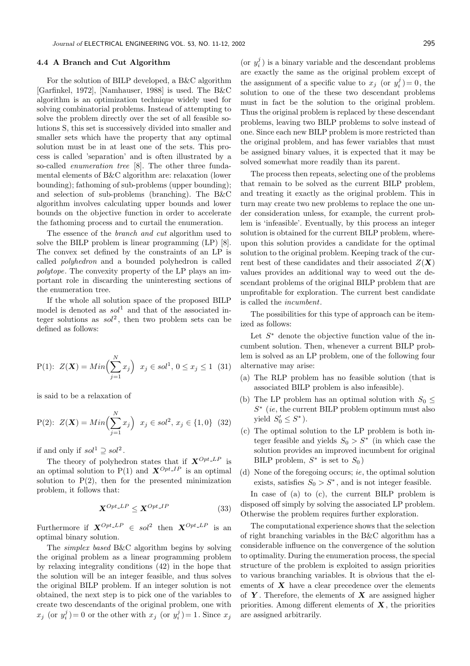## 4.4 A Branch and Cut Algorithm

For the solution of BILP developed, a B&C algorithm [Garfinkel, 1972], [Namhauser, 1988] is used. The B&C algorithm is an optimization technique widely used for solving combinatorial problems. Instead of attempting to solve the problem directly over the set of all feasible solutions S, this set is successively divided into smaller and smaller sets which have the property that any optimal solution must be in at least one of the sets. This process is called 'separation' and is often illustrated by a so-called enumeration tree [8]. The other three fundamental elements of B&C algorithm are: relaxation (lower bounding); fathoming of sub-problems (upper bounding); and selection of sub-problems (branching). The B&C algorithm involves calculating upper bounds and lower bounds on the objective function in order to accelerate the fathoming process and to curtail the enumeration.

The essence of the branch and cut algorithm used to solve the BILP problem is linear programming (LP) [8]. The convex set defined by the constraints of an LP is called polyhedron and a bounded polyhedron is called polytope. The convexity property of the LP plays an important role in discarding the uninteresting sections of the enumeration tree.

If the whole all solution space of the proposed BILP model is denoted as  $sol^1$  and that of the associated integer solutions as  $sol^2$ , then two problem sets can be defined as follows:

P(1): 
$$
Z(\mathbf{X}) = Min\left(\sum_{j=1}^{N} x_j\right) \ x_j \in sol^1, 0 \le x_j \le 1 \tag{31}
$$

is said to be a relaxation of

P(2): 
$$
Z(\mathbf{X}) = Min\left(\sum_{j=1}^{N} x_j\right) \ x_j \in sol^2, \ x_j \in \{1, 0\} \ (32)
$$

if and only if  $sol^1 \supseteq sol^2$ .

The theory of polyhedron states that if  $X^{Opt\_LP}$  is an optimal solution to  $P(1)$  and  $\mathbf{X}^{Opt\_IP}$  is an optimal solution to  $P(2)$ , then for the presented minimization problem, it follows that:

$$
\mathbf{X}^{Opt\_LP} \le \mathbf{X}^{Opt\_IP} \tag{33}
$$

Furthermore if  $X^{Opt\_LP} \in sol^2$  then  $X^{Opt\_LP}$  is an optimal binary solution.

The simplex based B&C algorithm begins by solving the original problem as a linear programming problem by relaxing integrality conditions (42) in the hope that the solution will be an integer feasible, and thus solves the original BILP problem. If an integer solution is not obtained, the next step is to pick one of the variables to create two descendants of the original problem, one with  $x_j$  (or  $y_i^j$ ) = 0 or the other with  $x_j$  (or  $y_i^j$ ) = 1. Since  $x_j$ 

(or  $y_i^j$ ) is a binary variable and the descendant problems are exactly the same as the original problem except of the assignment of a specific value to  $x_j$  (or  $y_i^j$ ) = 0, the solution to one of the these two descendant problems must in fact be the solution to the original problem. Thus the original problem is replaced by these descendant problems, leaving two BILP problems to solve instead of one. Since each new BILP problem is more restricted than the original problem, and has fewer variables that must be assigned binary values, it is expected that it may be solved somewhat more readily than its parent.

The process then repeats, selecting one of the problems that remain to be solved as the current BILP problem, and treating it exactly as the original problem. This in turn may create two new problems to replace the one under consideration unless, for example, the current problem is 'infeasible'. Eventually, by this process an integer solution is obtained for the current BILP problem, whereupon this solution provides a candidate for the optimal solution to the original problem. Keeping track of the current best of these candidates and their associated  $Z(\mathbf{X})$ values provides an additional way to weed out the descendant problems of the original BILP problem that are unprofitable for exploration. The current best candidate is called the incumbent.

The possibilities for this type of approach can be itemized as follows:

Let  $S^*$  denote the objective function value of the incumbent solution. Then, whenever a current BILP problem is solved as an LP problem, one of the following four alternative may arise:

- (a) The RLP problem has no feasible solution (that is associated BILP problem is also infeasible).
- (b) The LP problem has an optimal solution with  $S_0 \leq$  $S^*$  (ie, the current BILP problem optimum must also yield  $S'_0 \leq S^*$ ).
- (c) The optimal solution to the LP problem is both integer feasible and yields  $S_0 > S^*$  (in which case the solution provides an improved incumbent for original BILP problem,  $S^*$  is set to  $S_0$ )
- (d) None of the foregoing occurs; ie, the optimal solution exists, satisfies  $S_0 > S^*$ , and is not integer feasible.

In case of (a) to (c), the current BILP problem is disposed off simply by solving the associated LP problem. Otherwise the problem requires further exploration.

The computational experience shows that the selection of right branching variables in the B&C algorithm has a considerable influence on the convergence of the solution to optimality. During the enumeration process, the special structure of the problem is exploited to assign priorities to various branching variables. It is obvious that the elements of  $X$  have a clear precedence over the elements of Y. Therefore, the elements of X are assigned higher priorities. Among different elements of  $X$ , the priorities are assigned arbitrarily.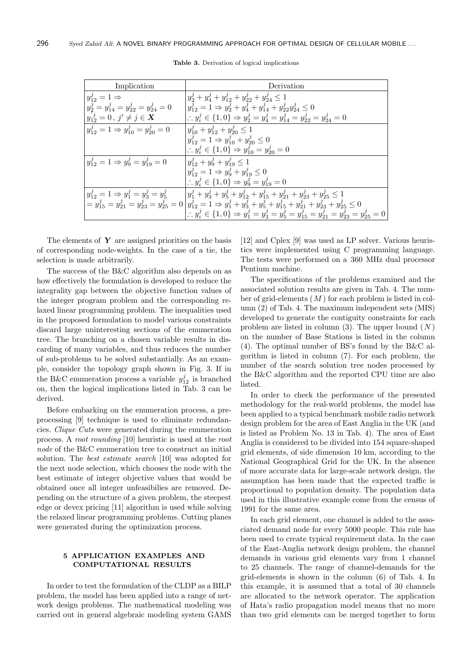| Implication                                        | Derivation                                                                                                                                                            |  |  |
|----------------------------------------------------|-----------------------------------------------------------------------------------------------------------------------------------------------------------------------|--|--|
| $y_{12}^j = 1 \Rightarrow$                         | $y_2^j + y_4^j + y_{12}^j + y_{22}^j + y_{24}^j \leq 1$                                                                                                               |  |  |
| $y_2^j = y_{14}^j = y_{22}^j = y_{24}^j = 0$       | $y_{12}^j = 1 \Rightarrow y_2^j + y_4^j + y_{14}^j + y_{22}^j y_{24}^j \leq 0$                                                                                        |  |  |
| $y_{12}^{j} = 0, j' \neq j \in \mathbf{X}$         | $y_1^j \in \{1,0\} \Rightarrow y_2^j = y_4^j = y_{14}^j = y_{22}^j = y_{24}^j = 0$                                                                                    |  |  |
| $y_{12}^j = 1 \Rightarrow y_{10}^j = y_{20}^j = 0$ | $y_{10}^j + y_{12}^j + y_{20}^j \le 1$                                                                                                                                |  |  |
|                                                    | $y_{12}^j = 1 \Rightarrow y_{10}^j + y_{20}^j \leq 0$                                                                                                                 |  |  |
|                                                    | $\therefore y_i^j \in \{1,0\} \Rightarrow y_{10}^j = y_{20}^j = 0$                                                                                                    |  |  |
| $y_{12}^j = 1 \Rightarrow y_9^j = y_{19}^j = 0$    | $y_{12}^j + y_9^j + y_{19}^j \leq 1$                                                                                                                                  |  |  |
|                                                    | $y_{12}^j = 1 \Rightarrow y_9^j + y_{19}^j \leq 0$                                                                                                                    |  |  |
|                                                    | $\therefore y_i^j \in \{1,0\} \Rightarrow y_9^j = y_{19}^j = 0$                                                                                                       |  |  |
|                                                    | $y_{12}^j = 1 \Rightarrow y_1^j = y_3^j = y_5^j$ $ y_1^j + y_3^j + y_5^j + y_{12}^j + y_{15}^j + y_{21}^j + y_{23}^j + y_{25}^j \le 1$                                |  |  |
|                                                    | $=y_{15}^{j}=y_{21}^{j}=y_{23}^{j}=y_{25}^{j}=0\left  y_{12}^{j}=1\Rightarrow y_{1}^{j}+y_{3}^{j}+y_{5}^{j}+y_{15}^{j}+y_{21}^{j}+y_{23}^{j}+y_{25}^{j}\leq 0\right.$ |  |  |
|                                                    | $\therefore y_i^j \in \{1,0\} \Rightarrow y_1^j = y_3^j = y_5^j = y_{15}^j = y_{21}^j = y_{23}^j = y_{25}^j = 0$                                                      |  |  |

Table 3. Derivation of logical implications

The elements of  $Y$  are assigned priorities on the basis of corresponding node-weights. In the case of a tie, the selection is made arbitrarily.

The success of the B&C algorithm also depends on as how effectively the formulation is developed to reduce the integrality gap between the objective function values of the integer program problem and the corresponding relaxed linear programming problem. The inequalities used in the proposed formulation to model various constraints discard large uninteresting sections of the enumeration tree. The branching on a chosen variable results in discarding of many variables, and thus reduces the number of sub-problems to be solved substantially. As an example, consider the topology graph shown in Fig. 3. If in the B&C enumeration process a variable  $y_{12}^j$  is branched on, then the logical implications listed in Tab. 3 can be derived.

Before embarking on the enumeration process, a preprocessing [9] technique is used to eliminate redundancies. Clique Cuts were generated during the enumeration process. A root rounding [10] heuristic is used at the root node of the B&C enumeration tree to construct an initial solution. The best estimate search [10] was adopted for the next node selection, which chooses the node with the best estimate of integer objective values that would be obtained once all integer unfeasibilies are removed. Depending on the structure of a given problem, the steepest edge or devex pricing [11] algorithm is used while solving the relaxed linear programming problems. Cutting planes were generated during the optimization process.

## 5 APPLICATION EXAMPLES AND COMPUTATIONAL RESULTS

In order to test the formulation of the CLDP as a BILP problem, the model has been applied into a range of network design problems. The mathematical modeling was carried out in general algebraic modeling system GAMS

[12] and Cplex [9] was used as LP solver. Various heuristics were implemented using C programming language. The tests were performed on a 360 MHz dual processor Pentium machine.

The specifications of the problems examined and the associated solution results are given in Tab. 4. The number of grid-elements  $(M)$  for each problem is listed in column (2) of Tab. 4. The maximum independent sets (MIS) developed to generate the contiguity constraints for each problem are listed in column  $(3)$ . The upper bound  $(N)$ on the number of Base Stations is listed in the column (4). The optimal number of BS's found by the B&C algorithm is listed in column (7). For each problem, the number of the search solution tree nodes processed by the B&C algorithm and the reported CPU time are also listed.

In order to check the performance of the presented methodology for the real-world problems, the model has been applied to a typical benchmark mobile radio network design problem for the area of East Anglia in the UK (and is listed as Problem No. 13 in Tab. 4). The area of East Anglia is considered to be divided into 154 square-shaped grid elements, of side dimension 10 km, according to the National Geographical Grid for the UK. In the absence of more accurate data for large-scale network design, the assumption has been made that the expected traffic is proportional to population density. The population data used in this illustrative example come from the census of 1991 for the same area.

In each grid element, one channel is added to the associated demand node for every 5000 people. This rule has been used to create typical requirement data. In the case of the East-Anglia network design problem, the channel demands in various grid elements vary from 1 channel to 25 channels. The range of channel-demands for the grid-elements is shown in the column (6) of Tab. 4. In this example, it is assumed that a total of 30 channels are allocated to the network operator. The application of Hata's radio propagation model means that no more than two grid elements can be merged together to form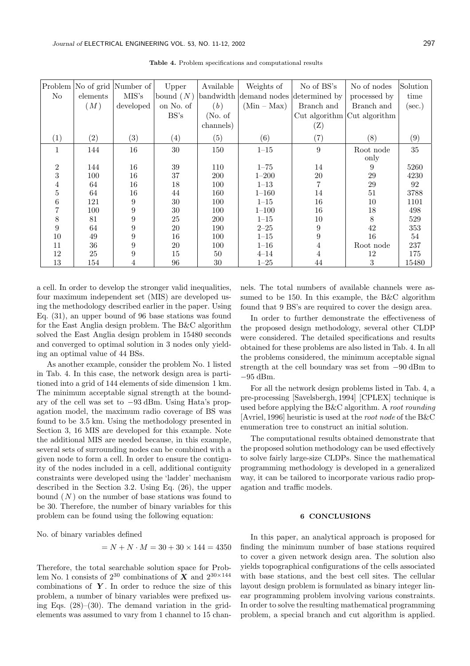| Problem<br>N <sub>o</sub> | elements          | No of grid Number of<br>MIS's | Upper<br>bound $(N)$ | Available         | Weights of<br>bandwidth demand nodes | No of BS's<br>determined by | No of nodes<br>processed by | Solution<br>time |
|---------------------------|-------------------|-------------------------------|----------------------|-------------------|--------------------------------------|-----------------------------|-----------------------------|------------------|
|                           | (M)               | developed                     | on No. of            | (b)               | $(Min - Max)$                        | Branch and                  | Branch and                  | $(\sec.)$        |
|                           |                   |                               | BS's                 | (No. of           |                                      |                             | Cut algorithm Cut algorithm |                  |
|                           |                   |                               |                      | channels)         |                                      | $(\mathrm{Z})$              |                             |                  |
| (1)                       | $\left( 2\right)$ | $\left( 3\right)$             | $\left( 4\right)$    | $\left( 5\right)$ | (6)                                  | (7)                         | (8)                         | (9)              |
| 1                         | 144               | 16                            | 30                   | 150               | $1 - 15$                             | 9                           | Root node                   | 35               |
|                           |                   |                               |                      |                   |                                      |                             | only                        |                  |
| $\overline{2}$            | 144               | 16                            | 39                   | 110               | $1 - 75$                             | 14                          | 9                           | 5260             |
| 3                         | 100               | 16                            | 37                   | <b>200</b>        | $1 - 200$                            | 20                          | 29                          | 4230             |
| 4                         | 64                | 16                            | 18                   | 100               | $1 - 13$                             |                             | 29                          | 92               |
| 5                         | 64                | 16                            | 44                   | 160               | $1 - 160$                            | 14                          | 51                          | 3788             |
| 6                         | 121               | 9                             | 30                   | 100               | $1 - 15$                             | 16                          | 10                          | 1101             |
| 7                         | 100               | 9                             | 30                   | 100               | $1 - 100$                            | 16                          | 18                          | 498              |
| 8                         | 81                | $\overline{9}$                | 25                   | 200               | $1 - 15$                             | 10                          | 8                           | 529              |
| 9                         | 64                | 9                             | 20                   | 190               | $2 - 25$                             | 9                           | 42                          | 353              |
| 10                        | 49                | 9                             | 16                   | 100               | $1 - 15$                             | 9                           | 16                          | $54\,$           |
| 11                        | 36                | 9                             | 20                   | 100               | $1 - 16$                             | 4                           | Root node                   | 237              |
| 12                        | 25                | 9                             | 15                   | 50                | $4 - 14$                             |                             | 12                          | 175              |
| 13                        | 154               | 4                             | 96                   | 30                | $1 - 25$                             | 44                          | 3                           | 15480            |

Table 4. Problem specifications and computational results

a cell. In order to develop the stronger valid inequalities, four maximum independent set (MIS) are developed using the methodology described earlier in the paper. Using Eq. (31), an upper bound of 96 base stations was found for the East Anglia design problem. The B&C algorithm solved the East Anglia design problem in 15480 seconds and converged to optimal solution in 3 nodes only yielding an optimal value of 44 BSs.

As another example, consider the problem No. 1 listed in Tab. 4. In this case, the network design area is partitioned into a grid of 144 elements of side dimension 1 km. The minimum acceptable signal strength at the boundary of the cell was set to −93 dBm. Using Hata's propagation model, the maximum radio coverage of BS was found to be 3.5 km. Using the methodology presented in Section 3, 16 MIS are developed for this example. Note the additional MIS are needed because, in this example, several sets of surrounding nodes can be combined with a given node to form a cell. In order to ensure the contiguity of the nodes included in a cell, additional contiguity constraints were developed using the 'ladder' mechanism described in the Section 3.2. Using Eq. (26), the upper bound  $(N)$  on the number of base stations was found to be 30. Therefore, the number of binary variables for this problem can be found using the following equation:

No. of binary variables defined

$$
= N + N \cdot M = 30 + 30 \times 144 = 4350
$$

Therefore, the total searchable solution space for Problem No. 1 consists of  $2^{30}$  combinations of **X** and  $2^{30\times144}$ combinations of  $\boldsymbol{Y}$ . In order to reduce the size of this problem, a number of binary variables were prefixed using Eqs.  $(28)$ – $(30)$ . The demand variation in the gridelements was assumed to vary from 1 channel to 15 channels. The total numbers of available channels were assumed to be 150. In this example, the B&C algorithm found that 9 BS's are required to cover the design area.

In order to further demonstrate the effectiveness of the proposed design methodology, several other CLDP were considered. The detailed specifications and results obtained for these problems are also listed in Tab. 4. In all the problems considered, the minimum acceptable signal strength at the cell boundary was set from −90 dBm to −95 dBm.

For all the network design problems listed in Tab. 4, a pre-processing [Savelsbergh, 1994] [CPLEX] technique is used before applying the B&C algorithm. A root rounding [Avriel, 1996] heuristic is used at the root node of the B&C enumeration tree to construct an initial solution.

The computational results obtained demonstrate that the proposed solution methodology can be used effectively to solve fairly large-size CLDPs. Since the mathematical programming methodology is developed in a generalized way, it can be tailored to incorporate various radio propagation and traffic models.

#### 6 CONCLUSIONS

In this paper, an analytical approach is proposed for finding the minimum number of base stations required to cover a given network design area. The solution also yields topographical configurations of the cells associated with base stations, and the best cell sites. The cellular layout design problem is formulated as binary integer linear programming problem involving various constraints. In order to solve the resulting mathematical programming problem, a special branch and cut algorithm is applied.